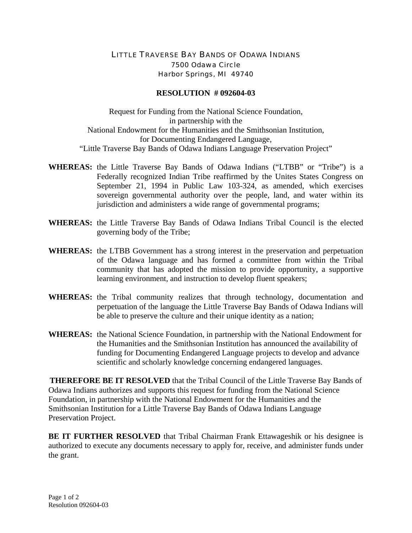## LITTLE TRAVERSE BAY BANDS OF ODAWA INDIANS 7500 Odawa Circle Harbor Springs, MI 49740

## **RESOLUTION # 092604-03**

Request for Funding from the National Science Foundation, in partnership with the National Endowment for the Humanities and the Smithsonian Institution, for Documenting Endangered Language, "Little Traverse Bay Bands of Odawa Indians Language Preservation Project"

- **WHEREAS:** the Little Traverse Bay Bands of Odawa Indians ("LTBB" or "Tribe") is a Federally recognized Indian Tribe reaffirmed by the Unites States Congress on September 21, 1994 in Public Law 103-324, as amended, which exercises sovereign governmental authority over the people, land, and water within its jurisdiction and administers a wide range of governmental programs;
- **WHEREAS:** the Little Traverse Bay Bands of Odawa Indians Tribal Council is the elected governing body of the Tribe;
- **WHEREAS:** the LTBB Government has a strong interest in the preservation and perpetuation of the Odawa language and has formed a committee from within the Tribal community that has adopted the mission to provide opportunity, a supportive learning environment, and instruction to develop fluent speakers;
- **WHEREAS:** the Tribal community realizes that through technology, documentation and perpetuation of the language the Little Traverse Bay Bands of Odawa Indians will be able to preserve the culture and their unique identity as a nation;
- **WHEREAS:** the National Science Foundation, in partnership with the National Endowment for the Humanities and the Smithsonian Institution has announced the availability of funding for Documenting Endangered Language projects to develop and advance scientific and scholarly knowledge concerning endangered languages.

**THEREFORE BE IT RESOLVED** that the Tribal Council of the Little Traverse Bay Bands of Odawa Indians authorizes and supports this request for funding from the National Science Foundation, in partnership with the National Endowment for the Humanities and the Smithsonian Institution for a Little Traverse Bay Bands of Odawa Indians Language Preservation Project.

**BE IT FURTHER RESOLVED** that Tribal Chairman Frank Ettawageshik or his designee is authorized to execute any documents necessary to apply for, receive, and administer funds under the grant.